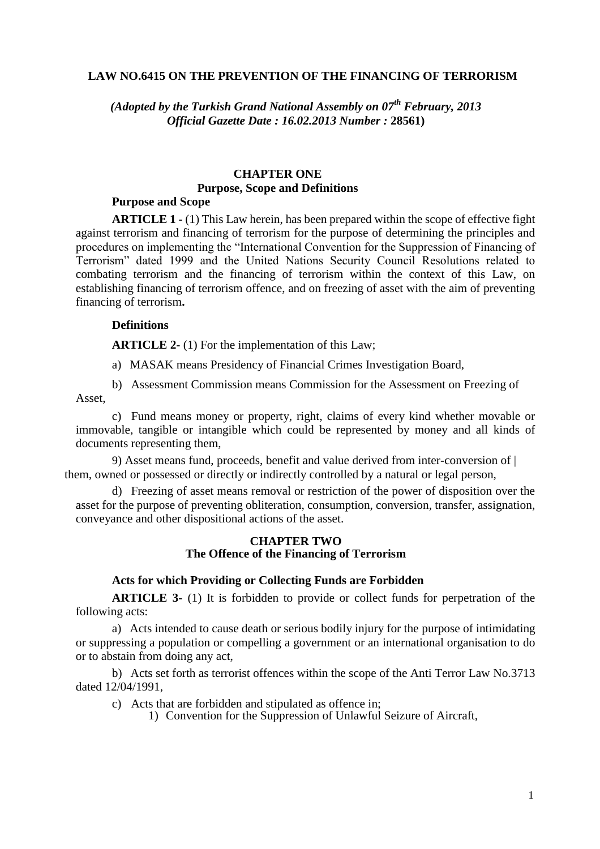### **LAW NO.6415 ON THE PREVENTION OF THE FINANCING OF TERRORISM**

*(Adopted by the Turkish Grand National Assembly on 07th February, 2013 Official Gazette Date : 16.02.2013 Number :* **28561)**

# **CHAPTER ONE Purpose, Scope and Definitions**

#### **Purpose and Scope**

**ARTICLE 1 -** (1) This Law herein, has been prepared within the scope of effective fight against terrorism and financing of terrorism for the purpose of determining the principles and procedures on implementing the "International Convention for the Suppression of Financing of Terrorism" dated 1999 and the United Nations Security Council Resolutions related to combating terrorism and the financing of terrorism within the context of this Law, on establishing financing of terrorism offence, and on freezing of asset with the aim of preventing financing of terrorism**.**

## **Definitions**

**ARTICLE 2-** (1) For the implementation of this Law;

a) MASAK means Presidency of Financial Crimes Investigation Board,

b) Assessment Commission means Commission for the Assessment on Freezing of Asset,

c) Fund means money or property, right, claims of every kind whether movable or immovable, tangible or intangible which could be represented by money and all kinds of documents representing them,

9) Asset means fund, proceeds, benefit and value derived from inter-conversion of | them, owned or possessed or directly or indirectly controlled by a natural or legal person,

d) Freezing of asset means removal or restriction of the power of disposition over the asset for the purpose of preventing obliteration, consumption, conversion, transfer, assignation, conveyance and other dispositional actions of the asset.

#### **CHAPTER TWO The Offence of the Financing of Terrorism**

#### **Acts for which Providing or Collecting Funds are Forbidden**

**ARTICLE 3-** (1) It is forbidden to provide or collect funds for perpetration of the following acts:

a) Acts intended to cause death or serious bodily injury for the purpose of intimidating or suppressing a population or compelling a government or an international organisation to do or to abstain from doing any act,

b) Acts set forth as terrorist offences within the scope of the Anti Terror Law No.3713 dated 12/04/1991,

- c) Acts that are forbidden and stipulated as offence in;
	- 1) Convention for the Suppression of Unlawful Seizure of Aircraft,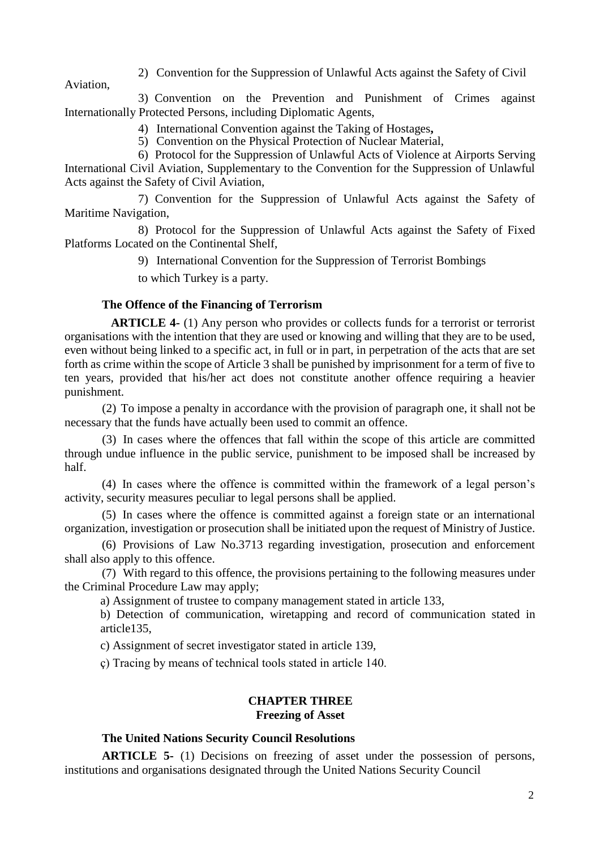2) Convention for the Suppression of Unlawful Acts against the Safety of Civil

3) Convention on the Prevention and Punishment of Crimes against Internationally Protected Persons, including Diplomatic Agents,

4) International Convention against the Taking of Hostages**,**

5) Convention on the Physical Protection of Nuclear Material,

6) Protocol for the Suppression of Unlawful Acts of Violence at Airports Serving International Civil Aviation, Supplementary to the Convention for the Suppression of Unlawful Acts against the Safety of Civil Aviation,

7) Convention for the Suppression of Unlawful Acts against the Safety of Maritime Navigation,

8) Protocol for the Suppression of Unlawful Acts against the Safety of Fixed Platforms Located on the Continental Shelf,

9) International Convention for the Suppression of Terrorist Bombings

to which Turkey is a party.

Aviation,

# **The Offence of the Financing of Terrorism**

**ARTICLE 4-** (1) Any person who provides or collects funds for a terrorist or terrorist organisations with the intention that they are used or knowing and willing that they are to be used, even without being linked to a specific act, in full or in part, in perpetration of the acts that are set forth as crime within the scope of Article 3 shall be punished by imprisonment for a term of five to ten years, provided that his/her act does not constitute another offence requiring a heavier punishment.

(2) To impose a penalty in accordance with the provision of paragraph one, it shall not be necessary that the funds have actually been used to commit an offence.

(3) In cases where the offences that fall within the scope of this article are committed through undue influence in the public service, punishment to be imposed shall be increased by half.

(4) In cases where the offence is committed within the framework of a legal person's activity, security measures peculiar to legal persons shall be applied.

(5) In cases where the offence is committed against a foreign state or an international organization, investigation or prosecution shall be initiated upon the request of Ministry of Justice.

(6) Provisions of Law No.3713 regarding investigation, prosecution and enforcement shall also apply to this offence.

(7) With regard to this offence, the provisions pertaining to the following measures under the Criminal Procedure Law may apply;

a) Assignment of trustee to company management stated in article 133,

b) Detection of communication, wiretapping and record of communication stated in article135,

c) Assignment of secret investigator stated in article 139,

ç) Tracing by means of technical tools stated in article 140.

#### **CHAPTER THREE Freezing of Asset**

# **The United Nations Security Council Resolutions**

**ARTICLE 5-** (1) Decisions on freezing of asset under the possession of persons, institutions and organisations designated through the United Nations Security Council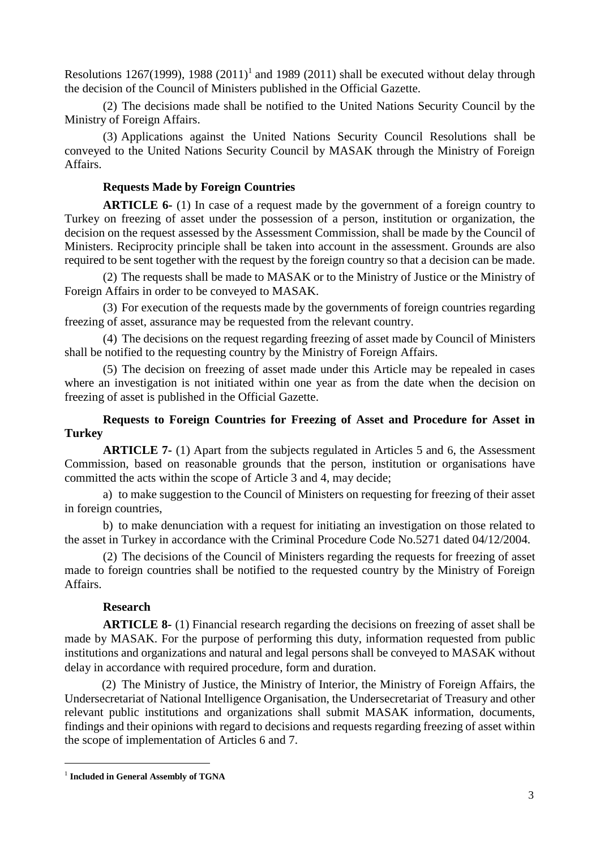Resolutions 1267(1999), 1988  $(2011)^1$  and 1989 (2011) shall be executed without delay through the decision of the Council of Ministers published in the Official Gazette.

(2) The decisions made shall be notified to the United Nations Security Council by the Ministry of Foreign Affairs.

(3) Applications against the United Nations Security Council Resolutions shall be conveyed to the United Nations Security Council by MASAK through the Ministry of Foreign Affairs.

# **Requests Made by Foreign Countries**

**ARTICLE 6-** (1) In case of a request made by the government of a foreign country to Turkey on freezing of asset under the possession of a person, institution or organization, the decision on the request assessed by the Assessment Commission, shall be made by the Council of Ministers. Reciprocity principle shall be taken into account in the assessment. Grounds are also required to be sent together with the request by the foreign country so that a decision can be made.

(2) The requests shall be made to MASAK or to the Ministry of Justice or the Ministry of Foreign Affairs in order to be conveyed to MASAK.

(3) For execution of the requests made by the governments of foreign countries regarding freezing of asset, assurance may be requested from the relevant country.

(4) The decisions on the request regarding freezing of asset made by Council of Ministers shall be notified to the requesting country by the Ministry of Foreign Affairs.

(5) The decision on freezing of asset made under this Article may be repealed in cases where an investigation is not initiated within one year as from the date when the decision on freezing of asset is published in the Official Gazette.

# **Requests to Foreign Countries for Freezing of Asset and Procedure for Asset in Turkey**

**ARTICLE 7-** (1) Apart from the subjects regulated in Articles 5 and 6, the Assessment Commission, based on reasonable grounds that the person, institution or organisations have committed the acts within the scope of Article 3 and 4, may decide;

a) to make suggestion to the Council of Ministers on requesting for freezing of their asset in foreign countries,

b) to make denunciation with a request for initiating an investigation on those related to the asset in Turkey in accordance with the Criminal Procedure Code No.5271 dated 04/12/2004.

(2) The decisions of the Council of Ministers regarding the requests for freezing of asset made to foreign countries shall be notified to the requested country by the Ministry of Foreign Affairs.

# **Research**

**ARTICLE 8-** (1) Financial research regarding the decisions on freezing of asset shall be made by MASAK. For the purpose of performing this duty, information requested from public institutions and organizations and natural and legal persons shall be conveyed to MASAK without delay in accordance with required procedure, form and duration.

(2) The Ministry of Justice, the Ministry of Interior, the Ministry of Foreign Affairs, the Undersecretariat of National Intelligence Organisation, the Undersecretariat of Treasury and other relevant public institutions and organizations shall submit MASAK information, documents, findings and their opinions with regard to decisions and requests regarding freezing of asset within the scope of implementation of Articles 6 and 7.

-

<sup>1</sup> **Included in General Assembly of TGNA**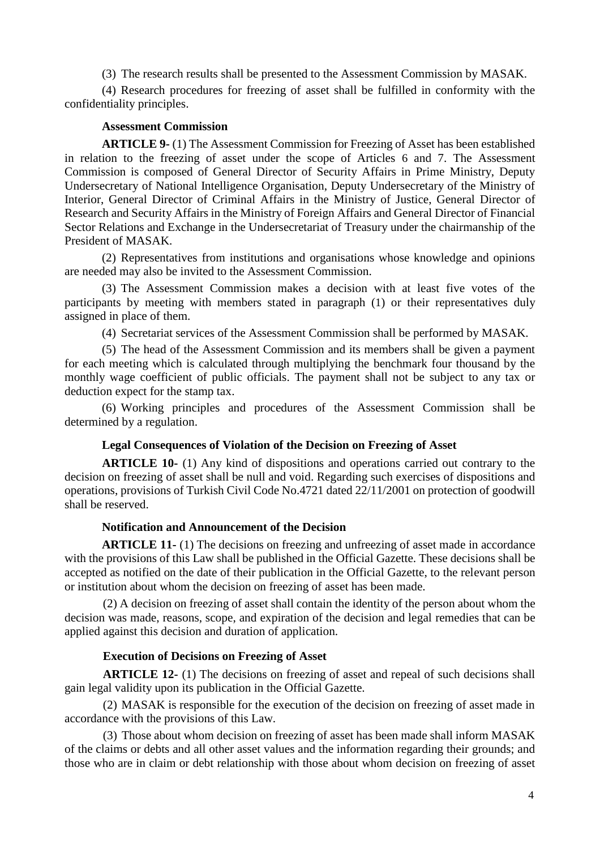(3) The research results shall be presented to the Assessment Commission by MASAK.

(4) Research procedures for freezing of asset shall be fulfilled in conformity with the confidentiality principles.

## **Assessment Commission**

**ARTICLE 9-** (1) The Assessment Commission for Freezing of Asset has been established in relation to the freezing of asset under the scope of Articles 6 and 7. The Assessment Commission is composed of General Director of Security Affairs in Prime Ministry, Deputy Undersecretary of National Intelligence Organisation, Deputy Undersecretary of the Ministry of Interior, General Director of Criminal Affairs in the Ministry of Justice, General Director of Research and Security Affairs in the Ministry of Foreign Affairs and General Director of Financial Sector Relations and Exchange in the Undersecretariat of Treasury under the chairmanship of the President of MASAK.

(2) Representatives from institutions and organisations whose knowledge and opinions are needed may also be invited to the Assessment Commission.

(3) The Assessment Commission makes a decision with at least five votes of the participants by meeting with members stated in paragraph (1) or their representatives duly assigned in place of them.

(4) Secretariat services of the Assessment Commission shall be performed by MASAK.

(5) The head of the Assessment Commission and its members shall be given a payment for each meeting which is calculated through multiplying the benchmark four thousand by the monthly wage coefficient of public officials. The payment shall not be subject to any tax or deduction expect for the stamp tax.

(6) Working principles and procedures of the Assessment Commission shall be determined by a regulation.

# **Legal Consequences of Violation of the Decision on Freezing of Asset**

**ARTICLE 10-** (1) Any kind of dispositions and operations carried out contrary to the decision on freezing of asset shall be null and void. Regarding such exercises of dispositions and operations, provisions of Turkish Civil Code No.4721 dated 22/11/2001 on protection of goodwill shall be reserved.

# **Notification and Announcement of the Decision**

**ARTICLE 11-** (1) The decisions on freezing and unfreezing of asset made in accordance with the provisions of this Law shall be published in the Official Gazette. These decisions shall be accepted as notified on the date of their publication in the Official Gazette, to the relevant person or institution about whom the decision on freezing of asset has been made.

(2) A decision on freezing of asset shall contain the identity of the person about whom the decision was made, reasons, scope, and expiration of the decision and legal remedies that can be applied against this decision and duration of application.

# **Execution of Decisions on Freezing of Asset**

**ARTICLE 12-** (1) The decisions on freezing of asset and repeal of such decisions shall gain legal validity upon its publication in the Official Gazette.

(2) MASAK is responsible for the execution of the decision on freezing of asset made in accordance with the provisions of this Law.

(3) Those about whom decision on freezing of asset has been made shall inform MASAK of the claims or debts and all other asset values and the information regarding their grounds; and those who are in claim or debt relationship with those about whom decision on freezing of asset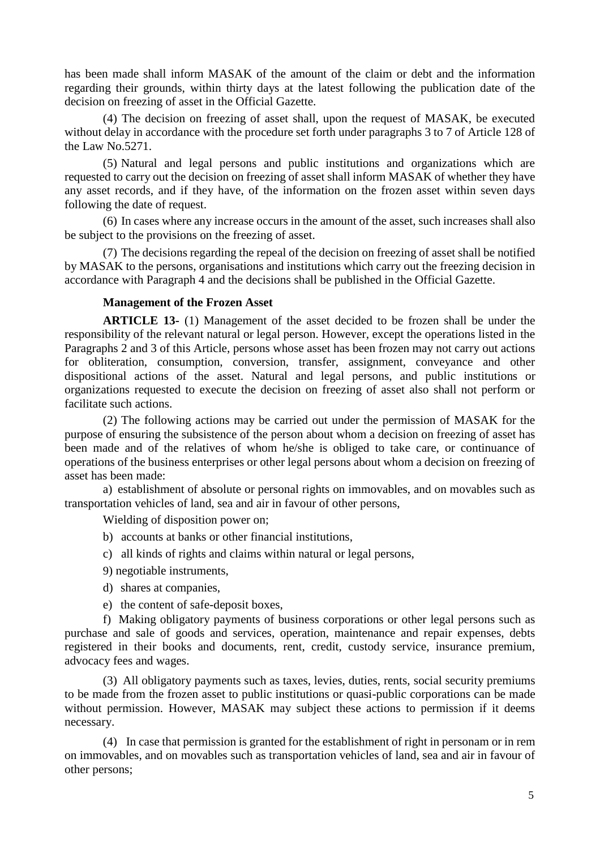has been made shall inform MASAK of the amount of the claim or debt and the information regarding their grounds, within thirty days at the latest following the publication date of the decision on freezing of asset in the Official Gazette.

(4) The decision on freezing of asset shall, upon the request of MASAK, be executed without delay in accordance with the procedure set forth under paragraphs 3 to 7 of Article 128 of the Law No.5271.

(5) Natural and legal persons and public institutions and organizations which are requested to carry out the decision on freezing of asset shall inform MASAK of whether they have any asset records, and if they have, of the information on the frozen asset within seven days following the date of request.

(6) In cases where any increase occurs in the amount of the asset, such increases shall also be subject to the provisions on the freezing of asset.

(7) The decisions regarding the repeal of the decision on freezing of asset shall be notified by MASAK to the persons, organisations and institutions which carry out the freezing decision in accordance with Paragraph 4 and the decisions shall be published in the Official Gazette.

## **Management of the Frozen Asset**

**ARTICLE 13-** (1) Management of the asset decided to be frozen shall be under the responsibility of the relevant natural or legal person. However, except the operations listed in the Paragraphs 2 and 3 of this Article, persons whose asset has been frozen may not carry out actions for obliteration, consumption, conversion, transfer, assignment, conveyance and other dispositional actions of the asset. Natural and legal persons, and public institutions or organizations requested to execute the decision on freezing of asset also shall not perform or facilitate such actions.

(2) The following actions may be carried out under the permission of MASAK for the purpose of ensuring the subsistence of the person about whom a decision on freezing of asset has been made and of the relatives of whom he/she is obliged to take care, or continuance of operations of the business enterprises or other legal persons about whom a decision on freezing of asset has been made:

a) establishment of absolute or personal rights on immovables, and on movables such as transportation vehicles of land, sea and air in favour of other persons,

Wielding of disposition power on;

- b) accounts at banks or other financial institutions,
- c) all kinds of rights and claims within natural or legal persons,
- 9) negotiable instruments,
- d) shares at companies,
- e) the content of safe-deposit boxes,

f) Making obligatory payments of business corporations or other legal persons such as purchase and sale of goods and services, operation, maintenance and repair expenses, debts registered in their books and documents, rent, credit, custody service, insurance premium, advocacy fees and wages.

(3) All obligatory payments such as taxes, levies, duties, rents, social security premiums to be made from the frozen asset to public institutions or quasi-public corporations can be made without permission. However, MASAK may subject these actions to permission if it deems necessary.

(4) In case that permission is granted for the establishment of right in personam or in rem on immovables, and on movables such as transportation vehicles of land, sea and air in favour of other persons;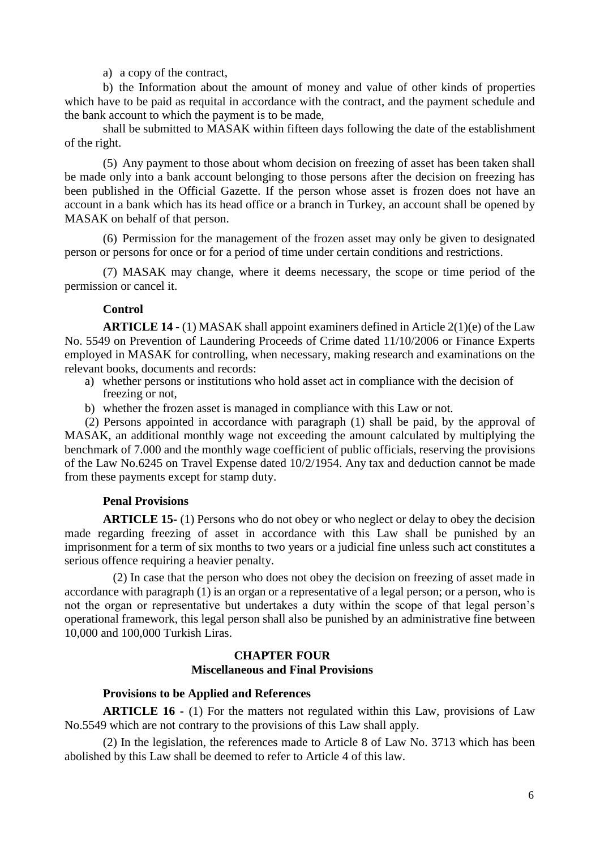### a) a copy of the contract,

b) the Information about the amount of money and value of other kinds of properties which have to be paid as requital in accordance with the contract, and the payment schedule and the bank account to which the payment is to be made,

shall be submitted to MASAK within fifteen days following the date of the establishment of the right.

(5) Any payment to those about whom decision on freezing of asset has been taken shall be made only into a bank account belonging to those persons after the decision on freezing has been published in the Official Gazette. If the person whose asset is frozen does not have an account in a bank which has its head office or a branch in Turkey, an account shall be opened by MASAK on behalf of that person.

(6) Permission for the management of the frozen asset may only be given to designated person or persons for once or for a period of time under certain conditions and restrictions.

(7) MASAK may change, where it deems necessary, the scope or time period of the permission or cancel it.

#### **Control**

**ARTICLE 14 -** (1) MASAK shall appoint examiners defined in Article 2(1)(e) of the Law No. 5549 on Prevention of Laundering Proceeds of Crime dated 11/10/2006 or Finance Experts employed in MASAK for controlling, when necessary, making research and examinations on the relevant books, documents and records:

- a) whether persons or institutions who hold asset act in compliance with the decision of freezing or not,
- b) whether the frozen asset is managed in compliance with this Law or not.

(2) Persons appointed in accordance with paragraph (1) shall be paid, by the approval of MASAK, an additional monthly wage not exceeding the amount calculated by multiplying the benchmark of 7.000 and the monthly wage coefficient of public officials, reserving the provisions of the Law No.6245 on Travel Expense dated 10/2/1954. Any tax and deduction cannot be made from these payments except for stamp duty.

## **Penal Provisions**

**ARTICLE 15-** (1) Persons who do not obey or who neglect or delay to obey the decision made regarding freezing of asset in accordance with this Law shall be punished by an imprisonment for a term of six months to two years or a judicial fine unless such act constitutes a serious offence requiring a heavier penalty.

(2) In case that the person who does not obey the decision on freezing of asset made in accordance with paragraph (1) is an organ or a representative of a legal person; or a person, who is not the organ or representative but undertakes a duty within the scope of that legal person's operational framework, this legal person shall also be punished by an administrative fine between 10,000 and 100,000 Turkish Liras.

## **CHAPTER FOUR Miscellaneous and Final Provisions**

## **Provisions to be Applied and References**

**ARTICLE 16 -** (1) For the matters not regulated within this Law, provisions of Law No.5549 which are not contrary to the provisions of this Law shall apply.

(2) In the legislation, the references made to Article 8 of Law No. 3713 which has been abolished by this Law shall be deemed to refer to Article 4 of this law.